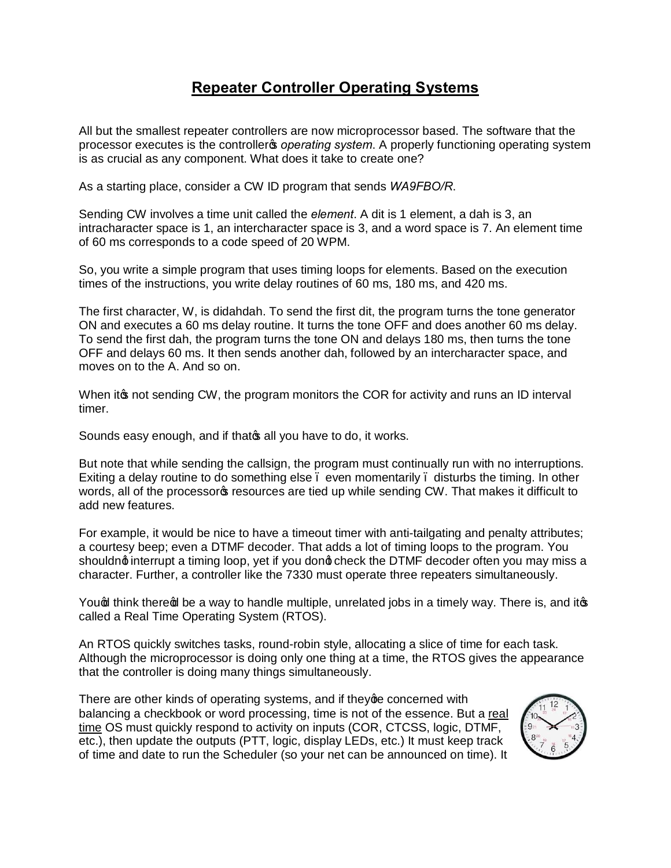## **Repeater Controller Operating Systems**

All but the smallest repeater controllers are now microprocessor based. The software that the processor executes is the controller<sub>®</sub> *operating system*. A properly functioning operating system is as crucial as any component. What does it take to create one?

As a starting place, consider a CW ID program that sends *WA9FBO/R*.

Sending CW involves a time unit called the *element*. A dit is 1 element, a dah is 3, an intracharacter space is 1, an intercharacter space is 3, and a word space is 7. An element time of 60 ms corresponds to a code speed of 20 WPM.

So, you write a simple program that uses timing loops for elements. Based on the execution times of the instructions, you write delay routines of 60 ms, 180 ms, and 420 ms.

The first character, W, is didahdah. To send the first dit, the program turns the tone generator ON and executes a 60 ms delay routine. It turns the tone OFF and does another 60 ms delay. To send the first dah, the program turns the tone ON and delays 180 ms, then turns the tone OFF and delays 60 ms. It then sends another dah, followed by an intercharacter space, and moves on to the A. And so on.

When it the not sending CW, the program monitors the COR for activity and runs an ID interval timer.

Sounds easy enough, and if that all you have to do, it works.

But note that while sending the callsign, the program must continually run with no interruptions. Exiting a delay routine to do something else – even momentarily – disturbs the timing. In other words, all of the processor<sub>c</sub> resources are tied up while sending CW. That makes it difficult to add new features.

For example, it would be nice to have a timeout timer with anti-tailgating and penalty attributes; a courtesy beep; even a DTMF decoder. That adds a lot of timing loops to the program. You shouldnot interrupt a timing loop, yet if you donot check the DTMF decoder often you may miss a character. Further, a controller like the 7330 must operate three repeaters simultaneously.

Yound think there of be a way to handle multiple, unrelated jobs in a timely way. There is, and itos called a Real Time Operating System (RTOS).

An RTOS quickly switches tasks, round-robin style, allocating a slice of time for each task. Although the microprocessor is doing only one thing at a time, the RTOS gives the appearance that the controller is doing many things simultaneously.

There are other kinds of operating systems, and if they ge concerned with balancing a checkbook or word processing, time is not of the essence. But a real time OS must quickly respond to activity on inputs (COR, CTCSS, logic, DTMF, etc.), then update the outputs (PTT, logic, display LEDs, etc.) It must keep track of time and date to run the Scheduler (so your net can be announced on time). It